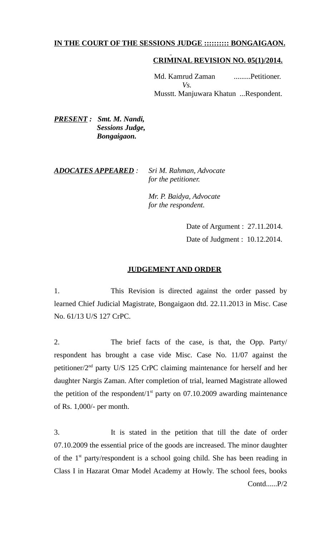# **IN THE COURT OF THE SESSIONS JUDGE :::::::::: BONGAIGAON.**

#### **CRIMINAL REVISION NO. 05(1)/2014.**

Md. Kamrud Zaman .........Petitioner.  $V<sub>S</sub>$ Musstt. Manjuwara Khatun ...Respondent.

*PRESENT : Smt. M. Nandi, Sessions Judge, Bongaigaon.* 

### *ADOCATES APPEARED : Sri M. Rahman, Advocate for the petitioner.*

 *Mr. P. Baidya, Advocate for the respondent.*

> Date of Argument : 27.11.2014. Date of Judgment : 10.12.2014.

### **JUDGEMENT AND ORDER**

1. This Revision is directed against the order passed by learned Chief Judicial Magistrate, Bongaigaon dtd. 22.11.2013 in Misc. Case No. 61/13 U/S 127 CrPC.

2. The brief facts of the case, is that, the Opp. Party/ respondent has brought a case vide Misc. Case No. 11/07 against the petitioner/2nd party U/S 125 CrPC claiming maintenance for herself and her daughter Nargis Zaman. After completion of trial, learned Magistrate allowed the petition of the respondent/ $1<sup>st</sup>$  party on 07.10.2009 awarding maintenance of Rs. 1,000/- per month.

3. It is stated in the petition that till the date of order 07.10.2009 the essential price of the goods are increased. The minor daughter of the  $1<sup>st</sup>$  party/respondent is a school going child. She has been reading in Class I in Hazarat Omar Model Academy at Howly. The school fees, books Contd......P/2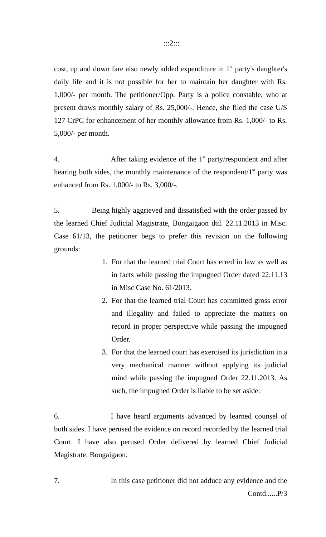cost, up and down fare also newly added expenditure in  $1<sup>st</sup>$  party's daughter's daily life and it is not possible for her to maintain her daughter with Rs. 1,000/- per month. The petitioner/Opp. Party is a police constable, who at present draws monthly salary of Rs. 25,000/-. Hence, she filed the case U/S 127 CrPC for enhancement of her monthly allowance from Rs. 1,000/- to Rs. 5,000/- per month.

4. After taking evidence of the  $1<sup>st</sup>$  party/respondent and after hearing both sides, the monthly maintenance of the respondent/ $1<sup>st</sup>$  party was enhanced from Rs. 1,000/- to Rs. 3,000/-.

5. Being highly aggrieved and dissatisfied with the order passed by the learned Chief Judicial Magistrate, Bongaigaon dtd. 22.11.2013 in Misc. Case 61/13, the petitioner begs to prefer this revision on the following grounds:

- 1. For that the learned trial Court has erred in law as well as in facts while passing the impugned Order dated 22.11.13 in Misc Case No. 61/2013.
- 2. For that the learned trial Court has committed gross error and illegality and failed to appreciate the matters on record in proper perspective while passing the impugned Order.
- 3. For that the learned court has exercised its jurisdiction in a very mechanical manner without applying its judicial mind while passing the impugned Order 22.11.2013. As such, the impugned Order is liable to be set aside.

6. I have heard arguments advanced by learned counsel of both sides. I have perused the evidence on record recorded by the learned trial Court. I have also perused Order delivered by learned Chief Judicial Magistrate, Bongaigaon.

7. In this case petitioner did not adduce any evidence and the Contd......P/3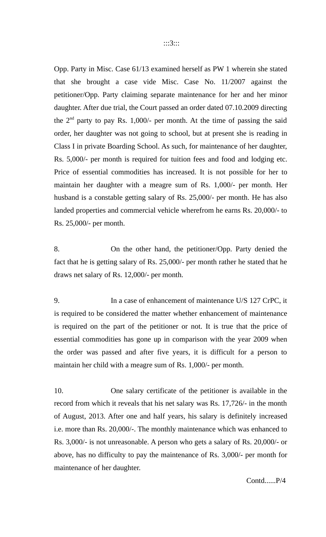Opp. Party in Misc. Case 61/13 examined herself as PW 1 wherein she stated that she brought a case vide Misc. Case No. 11/2007 against the petitioner/Opp. Party claiming separate maintenance for her and her minor daughter. After due trial, the Court passed an order dated 07.10.2009 directing the  $2<sup>nd</sup>$  party to pay Rs. 1,000/- per month. At the time of passing the said order, her daughter was not going to school, but at present she is reading in Class I in private Boarding School. As such, for maintenance of her daughter, Rs. 5,000/- per month is required for tuition fees and food and lodging etc. Price of essential commodities has increased. It is not possible for her to maintain her daughter with a meagre sum of Rs. 1,000/- per month. Her husband is a constable getting salary of Rs. 25,000/- per month. He has also landed properties and commercial vehicle wherefrom he earns Rs. 20,000/- to Rs. 25,000/- per month.

8. On the other hand, the petitioner/Opp. Party denied the fact that he is getting salary of Rs. 25,000/- per month rather he stated that he draws net salary of Rs. 12,000/- per month.

9. In a case of enhancement of maintenance U/S 127 CrPC, it is required to be considered the matter whether enhancement of maintenance is required on the part of the petitioner or not. It is true that the price of essential commodities has gone up in comparison with the year 2009 when the order was passed and after five years, it is difficult for a person to maintain her child with a meagre sum of Rs. 1,000/- per month.

10. One salary certificate of the petitioner is available in the record from which it reveals that his net salary was Rs. 17,726/- in the month of August, 2013. After one and half years, his salary is definitely increased i.e. more than Rs. 20,000/-. The monthly maintenance which was enhanced to Rs. 3,000/- is not unreasonable. A person who gets a salary of Rs. 20,000/- or above, has no difficulty to pay the maintenance of Rs. 3,000/- per month for maintenance of her daughter.

Contd......P/4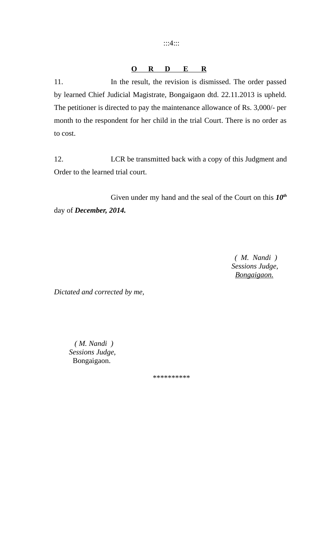:::4:::

# **O R D E R**

11. In the result, the revision is dismissed. The order passed by learned Chief Judicial Magistrate, Bongaigaon dtd. 22.11.2013 is upheld. The petitioner is directed to pay the maintenance allowance of Rs. 3,000/- per month to the respondent for her child in the trial Court. There is no order as to cost.

12. LCR be transmitted back with a copy of this Judgment and Order to the learned trial court.

Given under my hand and the seal of the Court on this *10th* day of *December, 2014.*

> *( M. Nandi ) Sessions Judge, Bongaigaon.*

*Dictated and corrected by me,*

 *( M. Nandi ) Sessions Judge,* Bongaigaon.

\*\*\*\*\*\*\*\*\*\*